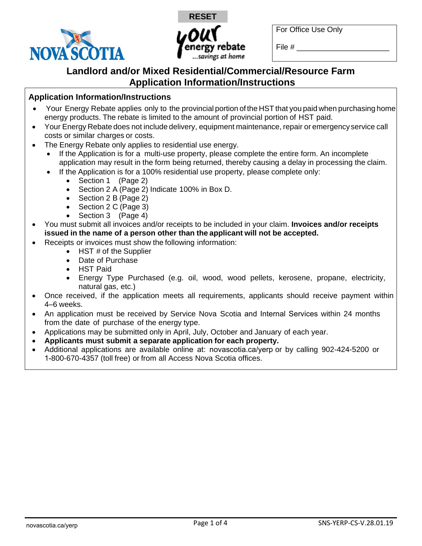



For Office Use Only

File  $\#$ 

# **Landlord and/or Mixed Residential/Commercial/Resource Farm Application Information/Instructions**

## **Application Information/Instructions**

- Your Energy Rebate applies only to the provincial portion of the HST that you paid when purchasing home energy products. The rebate is limited to the amount of provincial portion of HST paid.
- Your Energy Rebate does not include delivery, equipment maintenance, repair or emergency service call costs or similar charges or costs.
- The Energy Rebate only applies to residential use energy.
	- If the Application is for a multi-use property, please complete the entire form. An incomplete application may result in the form being returned, thereby causing a delay in processing the claim.
	- If the Application is for a 100% residential use property, please complete only:
		- Section 1 (Page 2)
		- Section 2 A (Page 2) Indicate 100% in Box D.
		- Section 2 B (Page 2)
		- Section 2 C (Page 3)
		- Section 3 (Page 4)
- You must submit all invoices and/or receipts to be included in your claim. **Invoices and/or receipts issued in the name of a person other than the applicant will not be accepted.**
- Receipts or invoices must show the following information:
	- HST # of the Supplier
	- Date of Purchase
	- HST Paid
	- Energy Type Purchased (e.g. oil, wood, wood pellets, kerosene, propane, electricity, natural gas, etc.)
- Once received, if the application meets all requirements, applicants should receive payment within 4–6 weeks.
- An application must be received by Service Nova Scotia and Internal Services within 24 months from the date of purchase of the energy type.
- Applications may be submitted only in April, July, October and January of each year.
- **Applicants must submit a separate application for each property.**
- Additional applications are available online at: [novascotia.ca/yerp](https://beta.novascotia.ca/programs-and-services/your-energy-rebate-program-yerp) or by calling 902-424-5200 or 1-800-670-4357 (toll free) or from all Access Nova Scotia offices.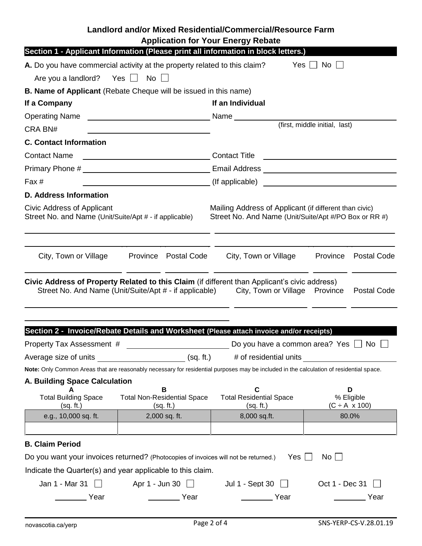|                                                                                                                                                                                                                                                                                                  |                                                      | Landlord and/or Mixed Residential/Commercial/Resource Farm                                                                                                                             |                                                                                                                 |  |  |  |
|--------------------------------------------------------------------------------------------------------------------------------------------------------------------------------------------------------------------------------------------------------------------------------------------------|------------------------------------------------------|----------------------------------------------------------------------------------------------------------------------------------------------------------------------------------------|-----------------------------------------------------------------------------------------------------------------|--|--|--|
| <b>Application for Your Energy Rebate</b><br>Section 1 - Applicant Information (Please print all information in block letters.)                                                                                                                                                                  |                                                      |                                                                                                                                                                                        |                                                                                                                 |  |  |  |
| A. Do you have commercial activity at the property related to this claim?                                                                                                                                                                                                                        |                                                      |                                                                                                                                                                                        | $Yes$ $\vert$<br>No                                                                                             |  |  |  |
| Are you a landlord?                                                                                                                                                                                                                                                                              | Yes □ No □                                           |                                                                                                                                                                                        |                                                                                                                 |  |  |  |
|                                                                                                                                                                                                                                                                                                  |                                                      |                                                                                                                                                                                        |                                                                                                                 |  |  |  |
| <b>B. Name of Applicant</b> (Rebate Cheque will be issued in this name)<br>If an Individual<br>If a Company                                                                                                                                                                                      |                                                      |                                                                                                                                                                                        |                                                                                                                 |  |  |  |
| <b>Operating Name</b>                                                                                                                                                                                                                                                                            |                                                      |                                                                                                                                                                                        |                                                                                                                 |  |  |  |
| CRA BN#                                                                                                                                                                                                                                                                                          | <u> 1980 - John Stein, Amerikaansk politiker (</u>   | Name <b>Name</b><br>(first, middle initial, last)                                                                                                                                      |                                                                                                                 |  |  |  |
| <b>C. Contact Information</b>                                                                                                                                                                                                                                                                    |                                                      |                                                                                                                                                                                        |                                                                                                                 |  |  |  |
| <b>Contact Name</b><br><u> 1989 - Johann Barn, fransk politik (d. 1989)</u>                                                                                                                                                                                                                      |                                                      | <b>Contact Title</b><br><u> 1989 - Andrea Albert III, am bhliain 1980 - Cathair Aonaichte ann an t-</u>                                                                                |                                                                                                                 |  |  |  |
|                                                                                                                                                                                                                                                                                                  |                                                      |                                                                                                                                                                                        |                                                                                                                 |  |  |  |
| Fax #                                                                                                                                                                                                                                                                                            |                                                      | (If applicable)<br><u> 1989 - John Stein, mars and de Britannie (b. 1989)</u>                                                                                                          |                                                                                                                 |  |  |  |
| <b>D. Address Information</b>                                                                                                                                                                                                                                                                    |                                                      |                                                                                                                                                                                        |                                                                                                                 |  |  |  |
| Civic Address of Applicant<br>Street No. and Name (Unit/Suite/Apt # - if applicable)                                                                                                                                                                                                             |                                                      |                                                                                                                                                                                        | Mailing Address of Applicant (if different than civic)<br>Street No. And Name (Unit/Suite/Apt #/PO Box or RR #) |  |  |  |
| City, Town or Village                                                                                                                                                                                                                                                                            | Province Postal Code                                 | City, Town or Village                                                                                                                                                                  | Province<br>Postal Code                                                                                         |  |  |  |
|                                                                                                                                                                                                                                                                                                  |                                                      | Civic Address of Property Related to this Claim (if different than Applicant's civic address)<br>Street No. And Name (Unit/Suite/Apt # - if applicable) City, Town or Village Province | <b>Postal Code</b>                                                                                              |  |  |  |
|                                                                                                                                                                                                                                                                                                  |                                                      | Section 2 - Invoice/Rebate Details and Worksheet (Please attach invoice and/or receipts)                                                                                               |                                                                                                                 |  |  |  |
| Property Tax Assessment #                                                                                                                                                                                                                                                                        |                                                      |                                                                                                                                                                                        | Do you have a common area? Yes $\Box$ No $\Box$                                                                 |  |  |  |
|                                                                                                                                                                                                                                                                                                  |                                                      | Average size of units __________________________(sq. ft.) # of residential units __________________                                                                                    |                                                                                                                 |  |  |  |
|                                                                                                                                                                                                                                                                                                  |                                                      | Note: Only Common Areas that are reasonably necessary for residential purposes may be included in the calculation of residential space.                                                |                                                                                                                 |  |  |  |
| A. Building Space Calculation                                                                                                                                                                                                                                                                    |                                                      |                                                                                                                                                                                        |                                                                                                                 |  |  |  |
| <b>Total Building Space</b><br>(sq. ft.)                                                                                                                                                                                                                                                         | В<br><b>Total Non-Residential Space</b><br>(sq. ft.) | $\mathbf c$<br><b>Total Residential Space</b><br>(sq. ft.)                                                                                                                             | D<br>% Eligible<br>$(C \div A \times 100)$                                                                      |  |  |  |
| e.g., 10,000 sq. ft.                                                                                                                                                                                                                                                                             | 2,000 sq. ft.                                        | 8,000 sq.ft.                                                                                                                                                                           | 80.0%                                                                                                           |  |  |  |
|                                                                                                                                                                                                                                                                                                  |                                                      |                                                                                                                                                                                        |                                                                                                                 |  |  |  |
| <b>B. Claim Period</b><br>Do you want your invoices returned? (Photocopies of invoices will not be returned.)<br>Yes $\Box$<br>$No$ $\Box$<br>Indicate the Quarter(s) and year applicable to this claim.<br>Jan 1 - Mar 31 $\Box$ Apr 1 - Jun 30 $\Box$ Jul 1 - Sept 30 $\Box$<br>Oct 1 - Dec 31 |                                                      |                                                                                                                                                                                        |                                                                                                                 |  |  |  |
| Year                                                                                                                                                                                                                                                                                             | Year                                                 | Year                                                                                                                                                                                   | Year                                                                                                            |  |  |  |
|                                                                                                                                                                                                                                                                                                  |                                                      |                                                                                                                                                                                        |                                                                                                                 |  |  |  |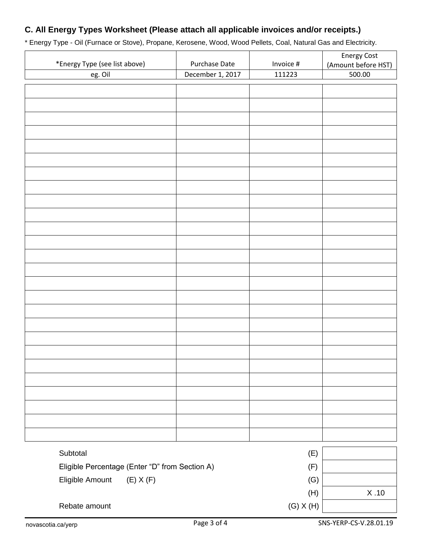# **C. All Energy Types Worksheet (Please attach all applicable invoices and/or receipts.)**

\* Energy Type - Oil (Furnace or Stove), Propane, Kerosene, Wood, Wood Pellets, Coal, Natural Gas and Electricity.

|                                                |                  |               | <b>Energy Cost</b>            |
|------------------------------------------------|------------------|---------------|-------------------------------|
| *Energy Type (see list above)                  | Purchase Date    | Invoice #     | (Amount before HST)           |
| eg. Oil                                        | December 1, 2017 | 111223        | 500.00                        |
|                                                |                  |               |                               |
|                                                |                  |               |                               |
|                                                |                  |               |                               |
|                                                |                  |               |                               |
|                                                |                  |               |                               |
|                                                |                  |               |                               |
|                                                |                  |               |                               |
|                                                |                  |               |                               |
|                                                |                  |               |                               |
|                                                |                  |               |                               |
|                                                |                  |               |                               |
|                                                |                  |               |                               |
|                                                |                  |               |                               |
|                                                |                  |               |                               |
|                                                |                  |               |                               |
|                                                |                  |               |                               |
|                                                |                  |               |                               |
|                                                |                  |               |                               |
|                                                |                  |               |                               |
|                                                |                  |               |                               |
|                                                |                  |               |                               |
|                                                |                  |               |                               |
|                                                |                  |               |                               |
|                                                |                  |               |                               |
|                                                |                  |               |                               |
|                                                |                  |               |                               |
|                                                |                  |               |                               |
|                                                |                  |               |                               |
|                                                |                  |               |                               |
|                                                |                  |               |                               |
| Subtotal                                       |                  | (E)           |                               |
| Eligible Percentage (Enter "D" from Section A) |                  | (F)           |                               |
| Eligible Amount<br>$(E)$ X $(F)$               | (G)              |               |                               |
|                                                |                  | (H)           | $\boldsymbol{\mathsf{X}}$ .10 |
| Rebate amount                                  |                  | $(G)$ X $(H)$ |                               |
|                                                |                  |               |                               |